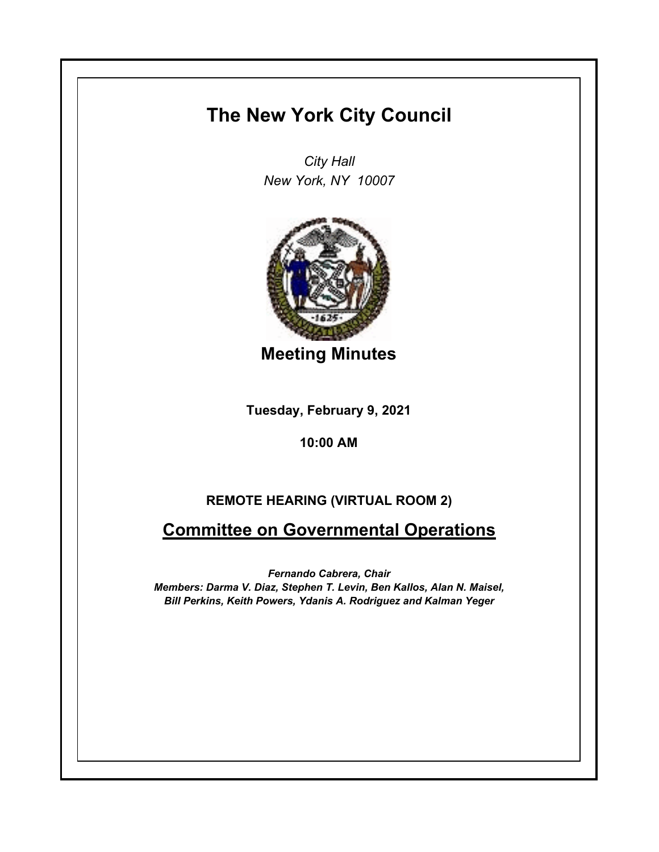## **The New York City Council**

*City Hall New York, NY 10007*



**Meeting Minutes**

**Tuesday, February 9, 2021**

## **10:00 AM**

## **REMOTE HEARING (VIRTUAL ROOM 2)**

## **Committee on Governmental Operations**

*Fernando Cabrera, Chair Members: Darma V. Diaz, Stephen T. Levin, Ben Kallos, Alan N. Maisel, Bill Perkins, Keith Powers, Ydanis A. Rodriguez and Kalman Yeger*